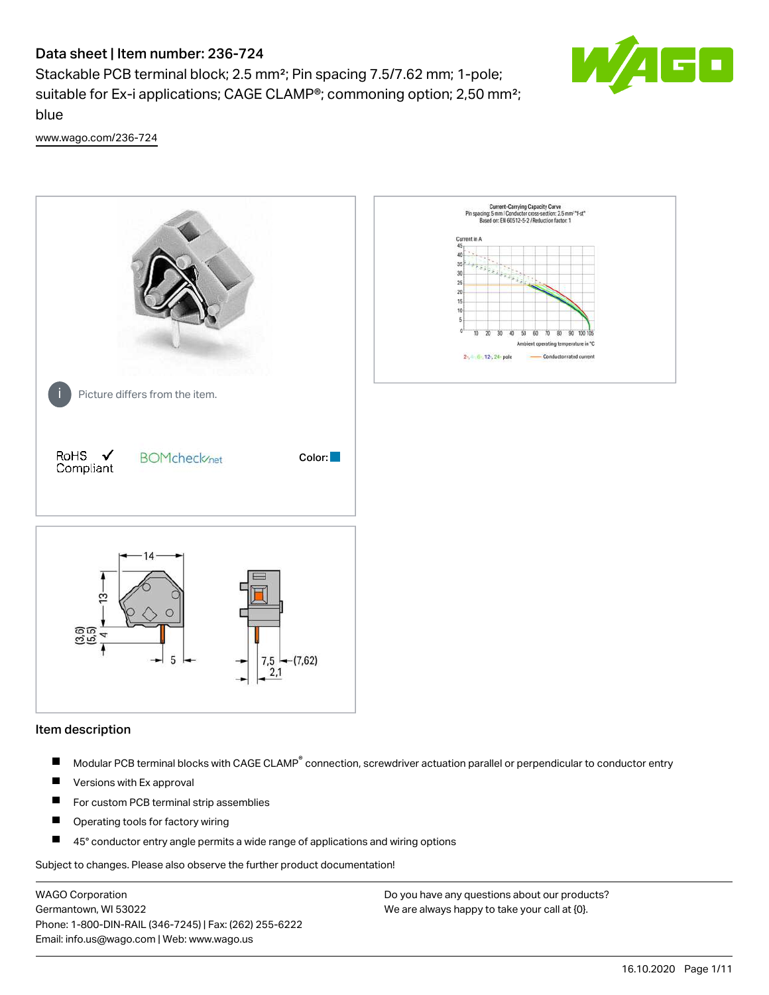Stackable PCB terminal block; 2.5 mm²; Pin spacing 7.5/7.62 mm; 1-pole; suitable for Ex-i applications; CAGE CLAMP®; commoning option; 2,50 mm²; blue



[www.wago.com/236-724](http://www.wago.com/236-724)



### Item description

- Modular PCB terminal blocks with CAGE CLAMP<sup>®</sup> connection, screwdriver actuation parallel or perpendicular to conductor entry П
- $\blacksquare$ Versions with Ex approval
- П For custom PCB terminal strip assemblies
- $\blacksquare$ Operating tools for factory wiring
- П 45° conductor entry angle permits a wide range of applications and wiring options

Subject to changes. Please also observe the further product documentation!

WAGO Corporation Germantown, WI 53022 Phone: 1-800-DIN-RAIL (346-7245) | Fax: (262) 255-6222 Email: info.us@wago.com | Web: www.wago.us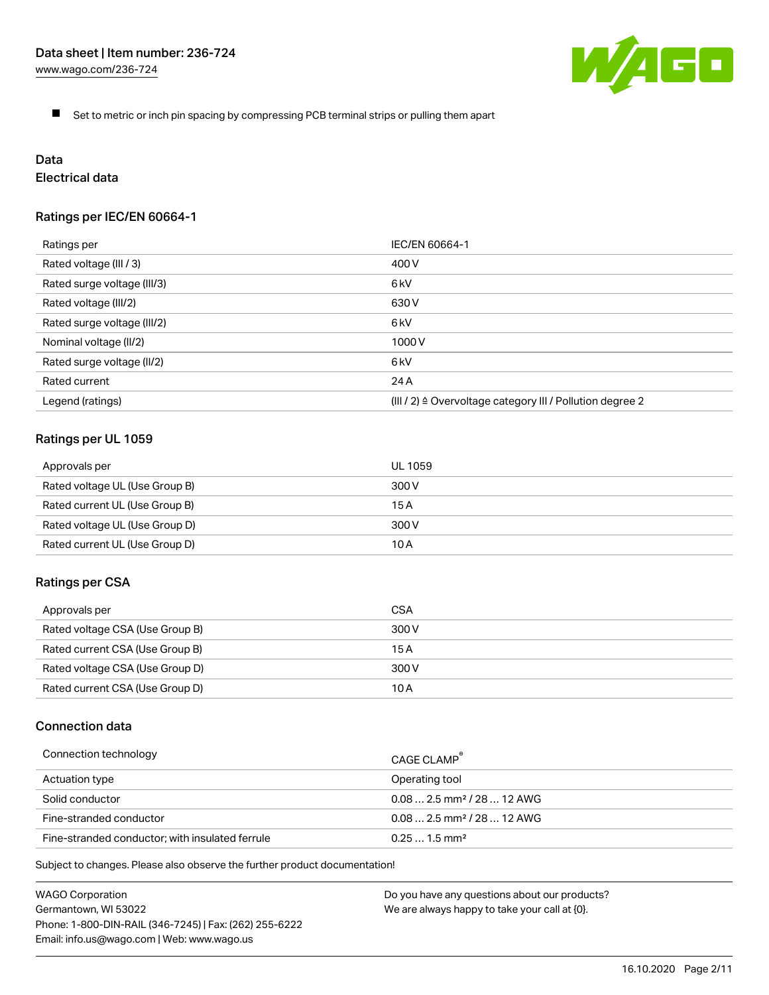

 $\blacksquare$ Set to metric or inch pin spacing by compressing PCB terminal strips or pulling them apart

# Data

# Electrical data

## Ratings per IEC/EN 60664-1

| Ratings per                 | IEC/EN 60664-1                                                        |
|-----------------------------|-----------------------------------------------------------------------|
| Rated voltage (III / 3)     | 400 V                                                                 |
| Rated surge voltage (III/3) | 6kV                                                                   |
| Rated voltage (III/2)       | 630 V                                                                 |
| Rated surge voltage (III/2) | 6 <sub>kV</sub>                                                       |
| Nominal voltage (II/2)      | 1000 V                                                                |
| Rated surge voltage (II/2)  | 6 <sub>kV</sub>                                                       |
| Rated current               | 24 A                                                                  |
| Legend (ratings)            | $(III / 2)$ $\triangle$ Overvoltage category III / Pollution degree 2 |

## Ratings per UL 1059

| Approvals per                  | UL 1059 |
|--------------------------------|---------|
| Rated voltage UL (Use Group B) | 300 V   |
| Rated current UL (Use Group B) | 15 A    |
| Rated voltage UL (Use Group D) | 300 V   |
| Rated current UL (Use Group D) | 10 A    |

### Ratings per CSA

| Approvals per                   | CSA   |
|---------------------------------|-------|
| Rated voltage CSA (Use Group B) | 300 V |
| Rated current CSA (Use Group B) | 15 A  |
| Rated voltage CSA (Use Group D) | 300 V |
| Rated current CSA (Use Group D) | 10 A  |

## Connection data

| Connection technology                           | CAGE CLAMP                              |
|-------------------------------------------------|-----------------------------------------|
| Actuation type                                  | Operating tool                          |
| Solid conductor                                 | $0.08$ 2.5 mm <sup>2</sup> / 28  12 AWG |
| Fine-stranded conductor                         | $0.082.5$ mm <sup>2</sup> / 28  12 AWG  |
| Fine-stranded conductor; with insulated ferrule | $0.251.5$ mm <sup>2</sup>               |

Subject to changes. Please also observe the further product documentation!

WAGO Corporation Germantown, WI 53022 Phone: 1-800-DIN-RAIL (346-7245) | Fax: (262) 255-6222 Email: info.us@wago.com | Web: www.wago.us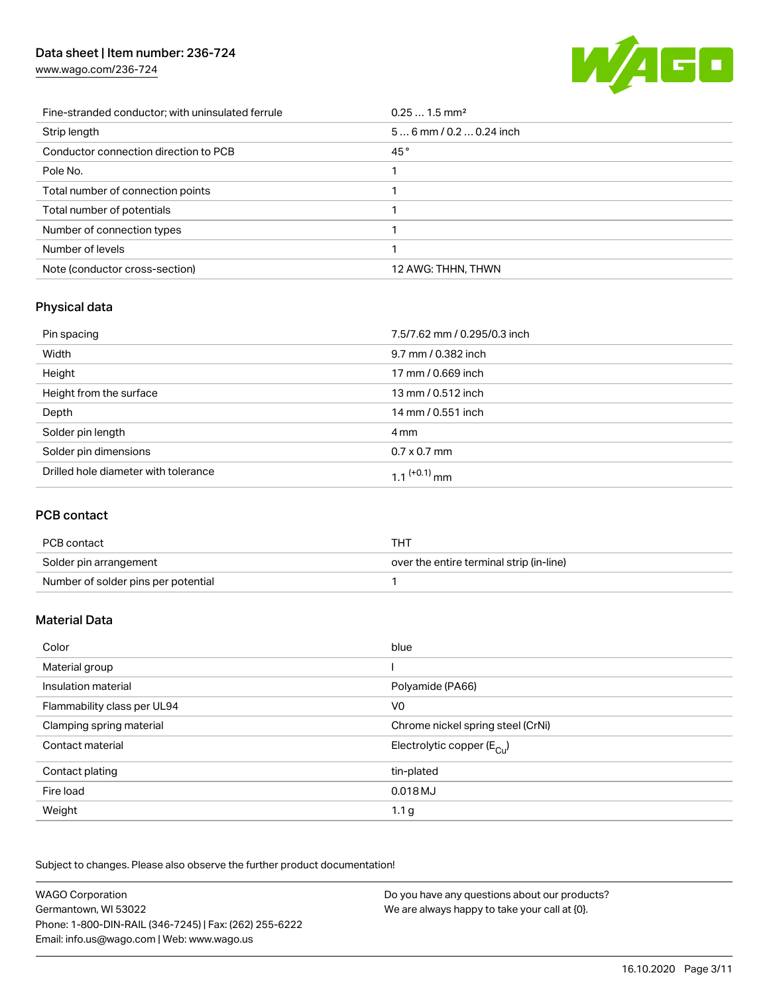[www.wago.com/236-724](http://www.wago.com/236-724)



| Fine-stranded conductor; with uninsulated ferrule | $0.251.5$ mm <sup>2</sup> |
|---------------------------------------------------|---------------------------|
| Strip length                                      | $56$ mm / 0.2  0.24 inch  |
| Conductor connection direction to PCB             | 45°                       |
| Pole No.                                          |                           |
| Total number of connection points                 |                           |
| Total number of potentials                        |                           |
| Number of connection types                        |                           |
| Number of levels                                  |                           |
| Note (conductor cross-section)                    | 12 AWG: THHN, THWN        |

# Physical data

| Pin spacing                          | 7.5/7.62 mm / 0.295/0.3 inch |
|--------------------------------------|------------------------------|
| Width                                | 9.7 mm / 0.382 inch          |
| Height                               | 17 mm / 0.669 inch           |
| Height from the surface              | 13 mm / 0.512 inch           |
| Depth                                | 14 mm / 0.551 inch           |
| Solder pin length                    | 4 mm                         |
| Solder pin dimensions                | $0.7 \times 0.7$ mm          |
| Drilled hole diameter with tolerance | 1.1 <sup>(+0.1)</sup> mm     |

## PCB contact

| PCB contact                         | THT                                      |
|-------------------------------------|------------------------------------------|
| Solder pin arrangement              | over the entire terminal strip (in-line) |
| Number of solder pins per potential |                                          |

## Material Data

| Color                       | blue                                   |
|-----------------------------|----------------------------------------|
| Material group              |                                        |
| Insulation material         | Polyamide (PA66)                       |
| Flammability class per UL94 | V <sub>0</sub>                         |
| Clamping spring material    | Chrome nickel spring steel (CrNi)      |
| Contact material            | Electrolytic copper $(E_{\text{Cul}})$ |
| Contact plating             | tin-plated                             |
| Fire load                   | 0.018 MJ                               |
| Weight                      | 1.1 <sub>g</sub>                       |

Subject to changes. Please also observe the further product documentation!

| <b>WAGO Corporation</b>                                | Do you have any questions about our products? |
|--------------------------------------------------------|-----------------------------------------------|
| Germantown, WI 53022                                   | We are always happy to take your call at {0}. |
| Phone: 1-800-DIN-RAIL (346-7245)   Fax: (262) 255-6222 |                                               |
| Email: info.us@wago.com   Web: www.wago.us             |                                               |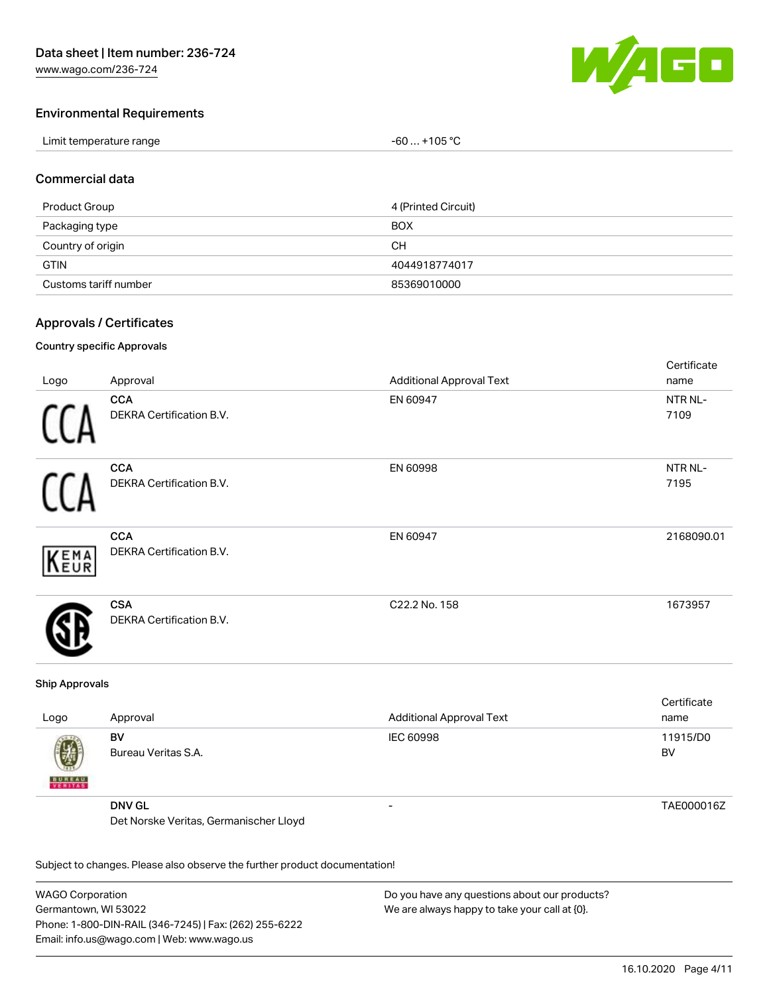

# Environmental Requirements

| Limit temperature range | $-60+105 °C$ |
|-------------------------|--------------|
|-------------------------|--------------|

### Commercial data

| Product Group         | 4 (Printed Circuit) |
|-----------------------|---------------------|
| Packaging type        | <b>BOX</b>          |
| Country of origin     | CН                  |
| <b>GTIN</b>           | 4044918774017       |
| Customs tariff number | 85369010000         |

## Approvals / Certificates

#### Country specific Approvals

| Logo | Approval                                      | <b>Additional Approval Text</b> | Certificate<br>name |
|------|-----------------------------------------------|---------------------------------|---------------------|
|      | <b>CCA</b><br>DEKRA Certification B.V.        | EN 60947                        | NTR NL-<br>7109     |
|      | <b>CCA</b><br>DEKRA Certification B.V.        | EN 60998                        | NTR NL-<br>7195     |
| KEMA | <b>CCA</b><br>DEKRA Certification B.V.        | EN 60947                        | 2168090.01          |
|      | <b>CSA</b><br><b>DEKRA Certification B.V.</b> | C22.2 No. 158                   | 1673957             |

#### Ship Approvals

| Logo                          | Approval                               | <b>Additional Approval Text</b> | Certificate<br>name |
|-------------------------------|----------------------------------------|---------------------------------|---------------------|
| $\mathbf{d}$<br><b>BUREAU</b> | BV<br>Bureau Veritas S.A.              | <b>IEC 60998</b>                | 11915/D0<br>BV      |
|                               | <b>DNV GL</b>                          | -                               | TAE000016Z          |
|                               | Det Norske Veritas, Germanischer Lloyd |                                 |                     |

Subject to changes. Please also observe the further product documentation!

WAGO Corporation Germantown, WI 53022 Phone: 1-800-DIN-RAIL (346-7245) | Fax: (262) 255-6222 Email: info.us@wago.com | Web: www.wago.us Do you have any questions about our products? We are always happy to take your call at {0}.

16.10.2020 Page 4/11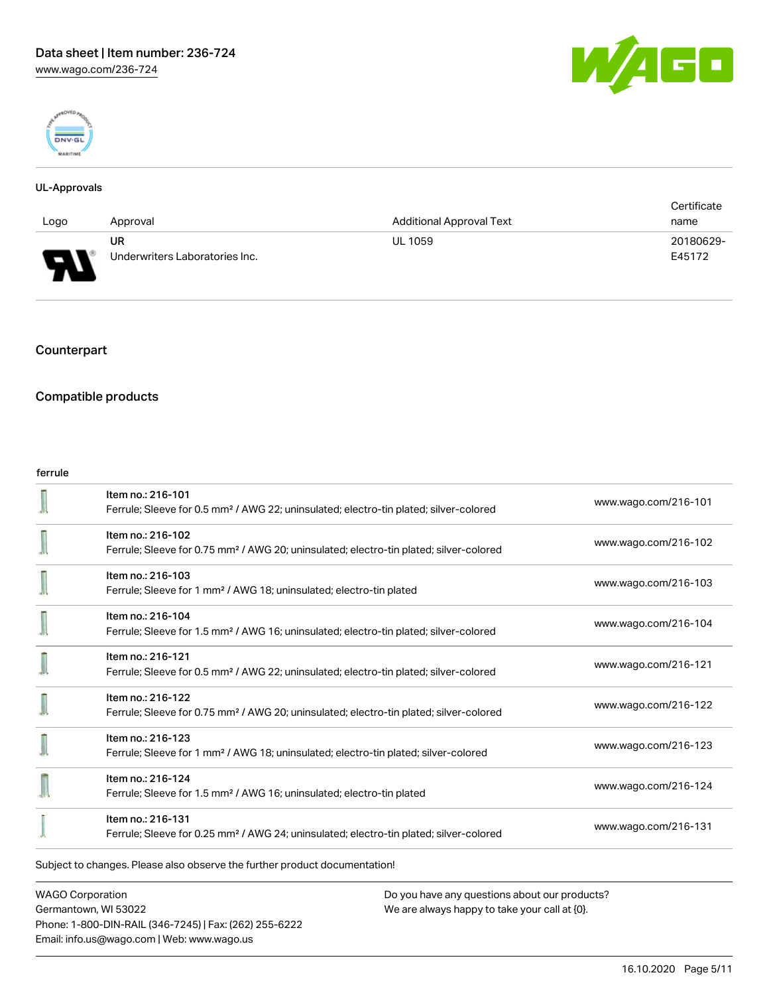



#### UL-Approvals

|                               |                                |                                 | Certificate |
|-------------------------------|--------------------------------|---------------------------------|-------------|
| Logo                          | Approval                       | <b>Additional Approval Text</b> | name        |
|                               | <b>UR</b>                      | <b>UL 1059</b>                  | 20180629-   |
| ſ<br>$\overline{\phantom{a}}$ | Underwriters Laboratories Inc. |                                 | E45172      |

# Counterpart

## Compatible products

#### ferrule

|                                                                            | Item no.: 216-101<br>Ferrule; Sleeve for 0.5 mm <sup>2</sup> / AWG 22; uninsulated; electro-tin plated; silver-colored  | www.wago.com/216-101 |
|----------------------------------------------------------------------------|-------------------------------------------------------------------------------------------------------------------------|----------------------|
|                                                                            | Item no.: 216-102<br>Ferrule; Sleeve for 0.75 mm <sup>2</sup> / AWG 20; uninsulated; electro-tin plated; silver-colored | www.wago.com/216-102 |
|                                                                            | Item no.: 216-103<br>Ferrule; Sleeve for 1 mm <sup>2</sup> / AWG 18; uninsulated; electro-tin plated                    | www.wago.com/216-103 |
|                                                                            | Item no.: 216-104<br>Ferrule; Sleeve for 1.5 mm <sup>2</sup> / AWG 16; uninsulated; electro-tin plated; silver-colored  | www.wago.com/216-104 |
|                                                                            | Item no.: 216-121<br>Ferrule; Sleeve for 0.5 mm <sup>2</sup> / AWG 22; uninsulated; electro-tin plated; silver-colored  | www.wago.com/216-121 |
|                                                                            | Item no.: 216-122<br>Ferrule; Sleeve for 0.75 mm <sup>2</sup> / AWG 20; uninsulated; electro-tin plated; silver-colored | www.wago.com/216-122 |
|                                                                            | Item no.: 216-123<br>Ferrule; Sleeve for 1 mm <sup>2</sup> / AWG 18; uninsulated; electro-tin plated; silver-colored    | www.wago.com/216-123 |
|                                                                            | Item no.: 216-124<br>Ferrule; Sleeve for 1.5 mm <sup>2</sup> / AWG 16; uninsulated; electro-tin plated                  | www.wago.com/216-124 |
|                                                                            | Item no.: 216-131<br>Ferrule; Sleeve for 0.25 mm <sup>2</sup> / AWG 24; uninsulated; electro-tin plated; silver-colored | www.wago.com/216-131 |
| Subject to changes. Please also observe the further product documentation! |                                                                                                                         |                      |

WAGO Corporation Germantown, WI 53022 Phone: 1-800-DIN-RAIL (346-7245) | Fax: (262) 255-6222 Email: info.us@wago.com | Web: www.wago.us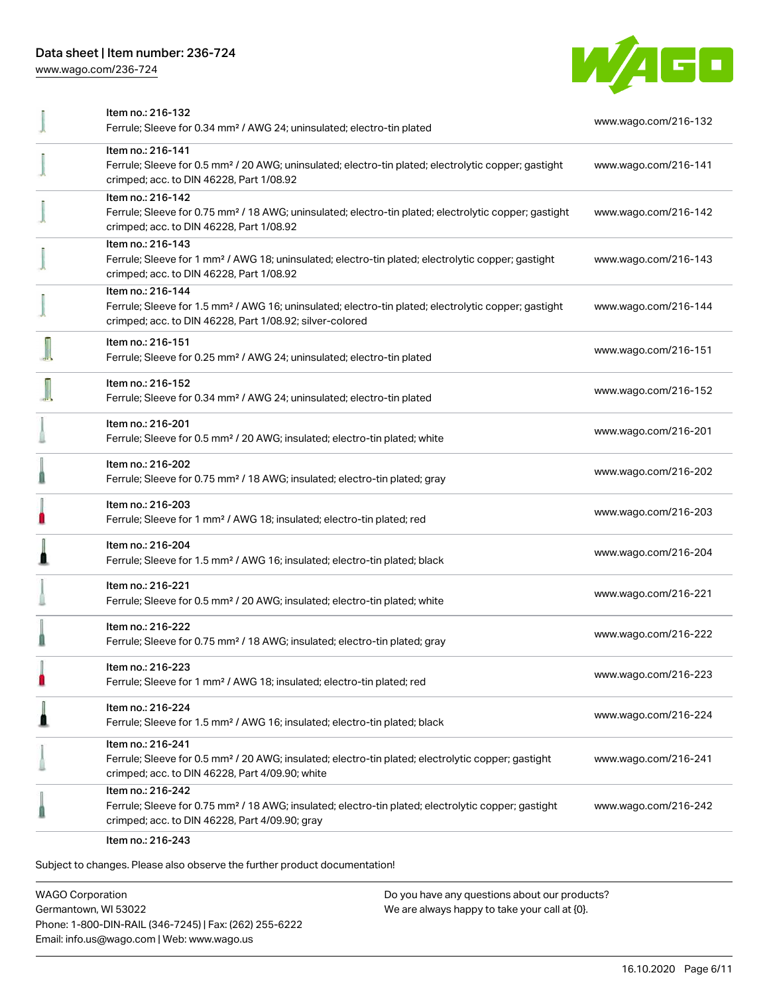[www.wago.com/236-724](http://www.wago.com/236-724)



| Item no.: 216-132                                                                                                                                                                                 | www.wago.com/216-132 |
|---------------------------------------------------------------------------------------------------------------------------------------------------------------------------------------------------|----------------------|
| Ferrule; Sleeve for 0.34 mm <sup>2</sup> / AWG 24; uninsulated; electro-tin plated                                                                                                                |                      |
| Item no.: 216-141<br>Ferrule; Sleeve for 0.5 mm <sup>2</sup> / 20 AWG; uninsulated; electro-tin plated; electrolytic copper; gastight<br>crimped; acc. to DIN 46228, Part 1/08.92                 | www.wago.com/216-141 |
| Item no.: 216-142<br>Ferrule; Sleeve for 0.75 mm <sup>2</sup> / 18 AWG; uninsulated; electro-tin plated; electrolytic copper; gastight<br>crimped; acc. to DIN 46228, Part 1/08.92                | www.wago.com/216-142 |
| Item no.: 216-143<br>Ferrule; Sleeve for 1 mm <sup>2</sup> / AWG 18; uninsulated; electro-tin plated; electrolytic copper; gastight<br>crimped; acc. to DIN 46228, Part 1/08.92                   | www.wago.com/216-143 |
| Item no.: 216-144<br>Ferrule; Sleeve for 1.5 mm <sup>2</sup> / AWG 16; uninsulated; electro-tin plated; electrolytic copper; gastight<br>crimped; acc. to DIN 46228, Part 1/08.92; silver-colored | www.wago.com/216-144 |
| Item no.: 216-151<br>Ferrule; Sleeve for 0.25 mm <sup>2</sup> / AWG 24; uninsulated; electro-tin plated                                                                                           | www.wago.com/216-151 |
| Item no.: 216-152<br>Ferrule; Sleeve for 0.34 mm <sup>2</sup> / AWG 24; uninsulated; electro-tin plated                                                                                           | www.wago.com/216-152 |
| Item no.: 216-201<br>Ferrule; Sleeve for 0.5 mm <sup>2</sup> / 20 AWG; insulated; electro-tin plated; white                                                                                       | www.wago.com/216-201 |
| Item no.: 216-202<br>Ferrule; Sleeve for 0.75 mm <sup>2</sup> / 18 AWG; insulated; electro-tin plated; gray                                                                                       | www.wago.com/216-202 |
| Item no.: 216-203<br>Ferrule; Sleeve for 1 mm <sup>2</sup> / AWG 18; insulated; electro-tin plated; red                                                                                           | www.wago.com/216-203 |
| Item no.: 216-204<br>Ferrule; Sleeve for 1.5 mm <sup>2</sup> / AWG 16; insulated; electro-tin plated; black                                                                                       | www.wago.com/216-204 |
| Item no.: 216-221<br>Ferrule; Sleeve for 0.5 mm <sup>2</sup> / 20 AWG; insulated; electro-tin plated; white                                                                                       | www.wago.com/216-221 |
| Item no.: 216-222<br>Ferrule; Sleeve for 0.75 mm <sup>2</sup> / 18 AWG; insulated; electro-tin plated; gray                                                                                       | www.wago.com/216-222 |
| Item no.: 216-223<br>Ferrule; Sleeve for 1 mm <sup>2</sup> / AWG 18; insulated; electro-tin plated; red                                                                                           | www.wago.com/216-223 |
| Item no.: 216-224<br>Ferrule; Sleeve for 1.5 mm <sup>2</sup> / AWG 16; insulated; electro-tin plated; black                                                                                       | www.wago.com/216-224 |
| Item no.: 216-241<br>Ferrule; Sleeve for 0.5 mm <sup>2</sup> / 20 AWG; insulated; electro-tin plated; electrolytic copper; gastight<br>crimped; acc. to DIN 46228, Part 4/09.90; white            | www.wago.com/216-241 |
| Item no.: 216-242<br>Ferrule; Sleeve for 0.75 mm <sup>2</sup> / 18 AWG; insulated; electro-tin plated; electrolytic copper; gastight<br>crimped; acc. to DIN 46228, Part 4/09.90; gray            | www.wago.com/216-242 |
| Item no.: 216-243                                                                                                                                                                                 |                      |

Subject to changes. Please also observe the further product documentation!

WAGO Corporation Germantown, WI 53022 Phone: 1-800-DIN-RAIL (346-7245) | Fax: (262) 255-6222 Email: info.us@wago.com | Web: www.wago.us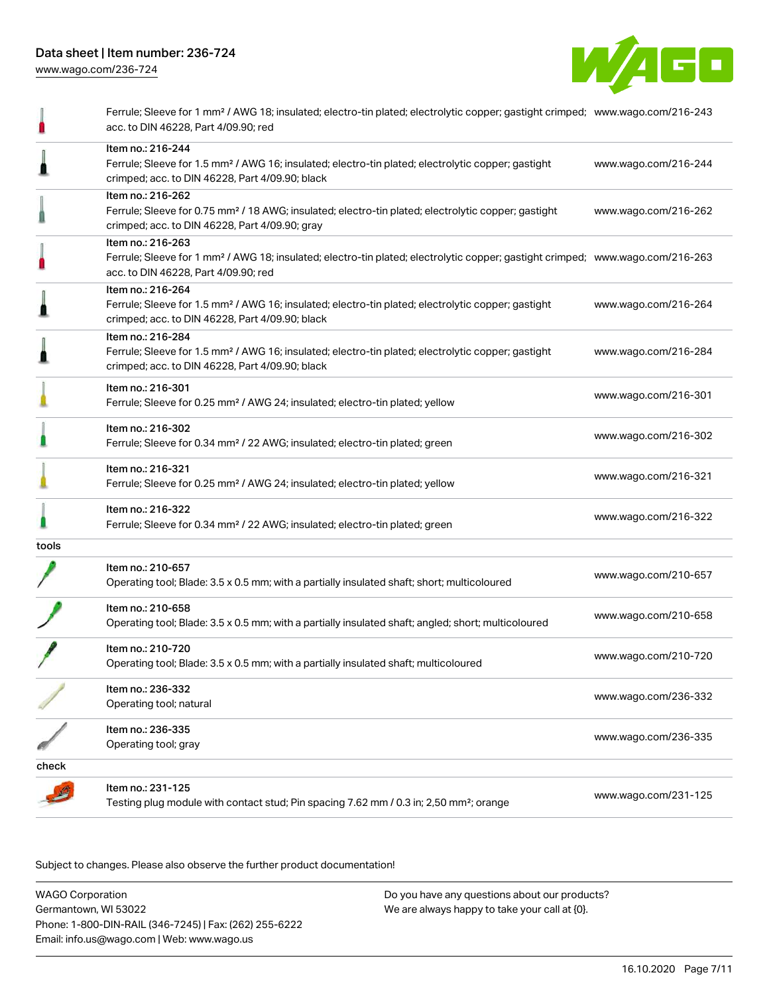

[www.wago.com/236-724](http://www.wago.com/236-724)

|       | Ferrule; Sleeve for 1 mm <sup>2</sup> / AWG 18; insulated; electro-tin plated; electrolytic copper; gastight crimped; www.wago.com/216-243<br>acc. to DIN 46228, Part 4/09.90; red                      |                      |
|-------|---------------------------------------------------------------------------------------------------------------------------------------------------------------------------------------------------------|----------------------|
|       | Item no.: 216-244<br>Ferrule; Sleeve for 1.5 mm <sup>2</sup> / AWG 16; insulated; electro-tin plated; electrolytic copper; gastight<br>crimped; acc. to DIN 46228, Part 4/09.90; black                  | www.wago.com/216-244 |
|       | Item no.: 216-262<br>Ferrule; Sleeve for 0.75 mm <sup>2</sup> / 18 AWG; insulated; electro-tin plated; electrolytic copper; gastight<br>crimped; acc. to DIN 46228, Part 4/09.90; gray                  | www.wago.com/216-262 |
|       | Item no.: 216-263<br>Ferrule; Sleeve for 1 mm <sup>2</sup> / AWG 18; insulated; electro-tin plated; electrolytic copper; gastight crimped; www.wago.com/216-263<br>acc. to DIN 46228, Part 4/09.90; red |                      |
|       | Item no.: 216-264<br>Ferrule; Sleeve for 1.5 mm <sup>2</sup> / AWG 16; insulated; electro-tin plated; electrolytic copper; gastight<br>crimped; acc. to DIN 46228, Part 4/09.90; black                  | www.wago.com/216-264 |
|       | Item no.: 216-284<br>Ferrule; Sleeve for 1.5 mm <sup>2</sup> / AWG 16; insulated; electro-tin plated; electrolytic copper; gastight<br>crimped; acc. to DIN 46228, Part 4/09.90; black                  | www.wago.com/216-284 |
|       | Item no.: 216-301<br>Ferrule; Sleeve for 0.25 mm <sup>2</sup> / AWG 24; insulated; electro-tin plated; yellow                                                                                           | www.wago.com/216-301 |
|       | Item no.: 216-302<br>Ferrule; Sleeve for 0.34 mm <sup>2</sup> / 22 AWG; insulated; electro-tin plated; green                                                                                            | www.wago.com/216-302 |
|       | Item no.: 216-321<br>Ferrule; Sleeve for 0.25 mm <sup>2</sup> / AWG 24; insulated; electro-tin plated; yellow                                                                                           | www.wago.com/216-321 |
|       | Item no.: 216-322<br>Ferrule; Sleeve for 0.34 mm <sup>2</sup> / 22 AWG; insulated; electro-tin plated; green                                                                                            | www.wago.com/216-322 |
| tools |                                                                                                                                                                                                         |                      |
|       | Item no.: 210-657<br>Operating tool; Blade: 3.5 x 0.5 mm; with a partially insulated shaft; short; multicoloured                                                                                        | www.wago.com/210-657 |
|       | Item no.: 210-658<br>Operating tool; Blade: 3.5 x 0.5 mm; with a partially insulated shaft; angled; short; multicoloured                                                                                | www.wago.com/210-658 |
|       | Item no.: 210-720<br>Operating tool; Blade: 3.5 x 0.5 mm; with a partially insulated shaft; multicoloured                                                                                               | www.wago.com/210-720 |
|       | Item no.: 236-332<br>Operating tool; natural                                                                                                                                                            | www.wago.com/236-332 |
|       | Item no.: 236-335<br>Operating tool; gray                                                                                                                                                               | www.wago.com/236-335 |
| check |                                                                                                                                                                                                         |                      |
|       | Item no.: 231-125<br>Testing plug module with contact stud; Pin spacing 7.62 mm / 0.3 in; 2,50 mm <sup>2</sup> ; orange                                                                                 | www.wago.com/231-125 |

Subject to changes. Please also observe the further product documentation!

WAGO Corporation Germantown, WI 53022 Phone: 1-800-DIN-RAIL (346-7245) | Fax: (262) 255-6222 Email: info.us@wago.com | Web: www.wago.us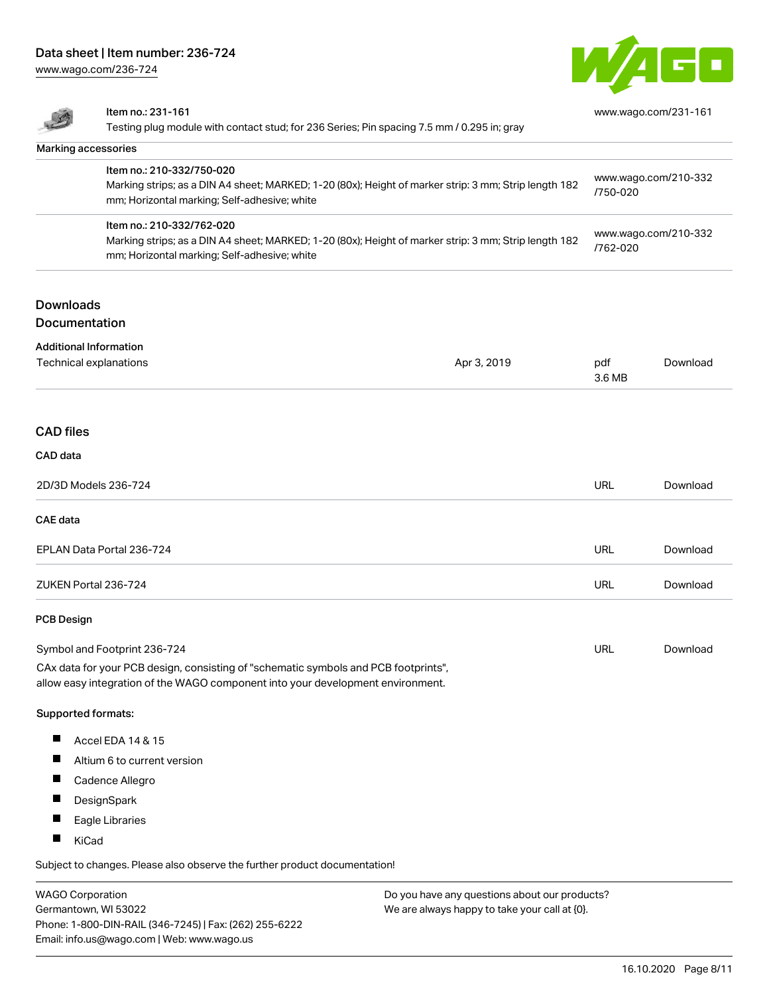[www.wago.com/236-724](http://www.wago.com/236-724)



|                      | Item no.: 231-161<br>Testing plug module with contact stud; for 236 Series; Pin spacing 7.5 mm / 0.295 in; gray                                                                    |             | www.wago.com/231-161             |          |
|----------------------|------------------------------------------------------------------------------------------------------------------------------------------------------------------------------------|-------------|----------------------------------|----------|
|                      |                                                                                                                                                                                    |             |                                  |          |
|                      | Marking accessories                                                                                                                                                                |             |                                  |          |
|                      | Item no.: 210-332/750-020<br>Marking strips; as a DIN A4 sheet; MARKED; 1-20 (80x); Height of marker strip: 3 mm; Strip length 182<br>mm; Horizontal marking; Self-adhesive; white |             | www.wago.com/210-332<br>/750-020 |          |
|                      | Item no.: 210-332/762-020<br>Marking strips; as a DIN A4 sheet; MARKED; 1-20 (80x); Height of marker strip: 3 mm; Strip length 182<br>mm; Horizontal marking; Self-adhesive; white |             | www.wago.com/210-332<br>/762-020 |          |
| <b>Downloads</b>     |                                                                                                                                                                                    |             |                                  |          |
| Documentation        |                                                                                                                                                                                    |             |                                  |          |
|                      | <b>Additional Information</b><br>Technical explanations                                                                                                                            | Apr 3, 2019 | pdf<br>3.6 MB                    | Download |
| <b>CAD files</b>     |                                                                                                                                                                                    |             |                                  |          |
| CAD data             |                                                                                                                                                                                    |             |                                  |          |
|                      | 2D/3D Models 236-724                                                                                                                                                               |             | URL                              | Download |
| <b>CAE</b> data      |                                                                                                                                                                                    |             |                                  |          |
|                      | EPLAN Data Portal 236-724                                                                                                                                                          |             | URL                              | Download |
| ZUKEN Portal 236-724 |                                                                                                                                                                                    | URL         | Download                         |          |
| <b>PCB Design</b>    |                                                                                                                                                                                    |             |                                  |          |
|                      | Symbol and Footprint 236-724                                                                                                                                                       |             | <b>URL</b>                       | Download |
|                      | CAx data for your PCB design, consisting of "schematic symbols and PCB footprints",<br>allow easy integration of the WAGO component into your development environment.             |             |                                  |          |
|                      | Supported formats:                                                                                                                                                                 |             |                                  |          |
| ш                    | Accel EDA 14 & 15                                                                                                                                                                  |             |                                  |          |
| $\blacksquare$       | Altium 6 to current version                                                                                                                                                        |             |                                  |          |
| Ш                    | Cadence Allegro                                                                                                                                                                    |             |                                  |          |
|                      | DesignSpark                                                                                                                                                                        |             |                                  |          |
|                      | Eagle Libraries                                                                                                                                                                    |             |                                  |          |
|                      | KiCad                                                                                                                                                                              |             |                                  |          |
|                      |                                                                                                                                                                                    |             |                                  |          |

Subject to changes. Please also observe the further product documentation!

WAGO Corporation Germantown, WI 53022 Phone: 1-800-DIN-RAIL (346-7245) | Fax: (262) 255-6222 Email: info.us@wago.com | Web: www.wago.us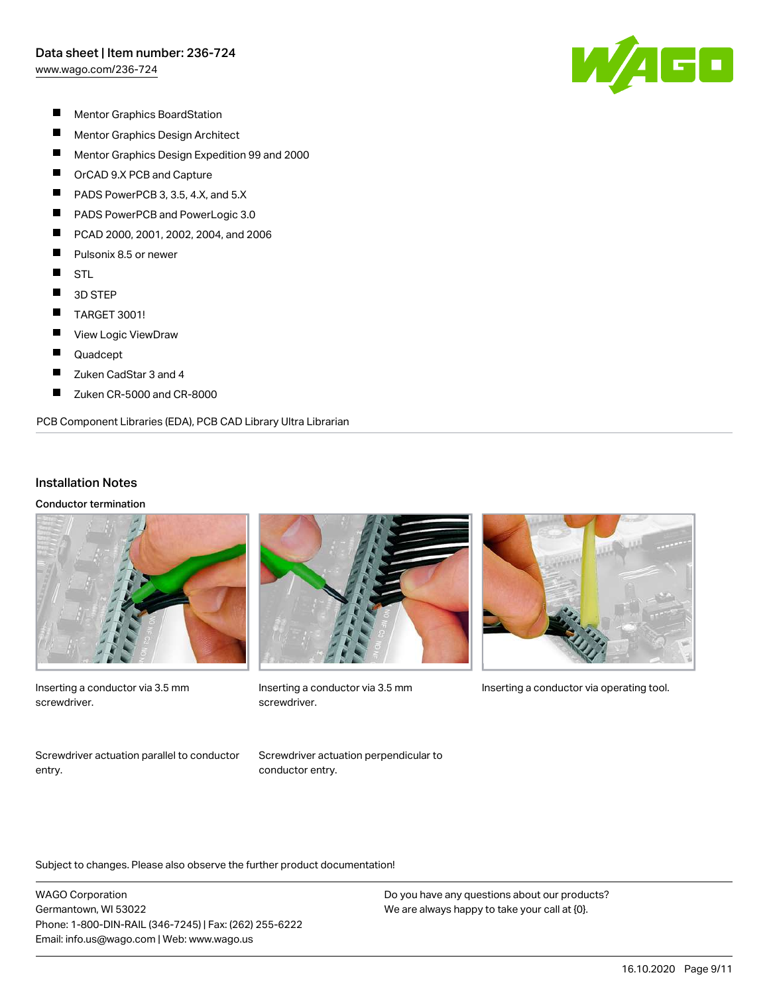[www.wago.com/236-724](http://www.wago.com/236-724)



- $\blacksquare$ Mentor Graphics BoardStation
- $\blacksquare$ Mentor Graphics Design Architect
- $\blacksquare$ Mentor Graphics Design Expedition 99 and 2000
- $\blacksquare$ OrCAD 9.X PCB and Capture
- $\blacksquare$ PADS PowerPCB 3, 3.5, 4.X, and 5.X
- $\blacksquare$ PADS PowerPCB and PowerLogic 3.0
- $\blacksquare$ PCAD 2000, 2001, 2002, 2004, and 2006
- $\blacksquare$ Pulsonix 8.5 or newer
- $\blacksquare$ STL
- $\blacksquare$ 3D STEP
- $\blacksquare$ TARGET 3001!
- $\blacksquare$ View Logic ViewDraw
- $\blacksquare$ Quadcept
- $\blacksquare$ Zuken CadStar 3 and 4
- $\blacksquare$ Zuken CR-5000 and CR-8000

PCB Component Libraries (EDA), PCB CAD Library Ultra Librarian

#### Installation Notes

Conductor termination



Inserting a conductor via 3.5 mm screwdriver.



screwdriver.



Inserting a conductor via 3.5 mm Inserting a conductor via operating tool.

Screwdriver actuation parallel to conductor entry.

Screwdriver actuation perpendicular to conductor entry.

Subject to changes. Please also observe the further product documentation!

WAGO Corporation Germantown, WI 53022 Phone: 1-800-DIN-RAIL (346-7245) | Fax: (262) 255-6222 Email: info.us@wago.com | Web: www.wago.us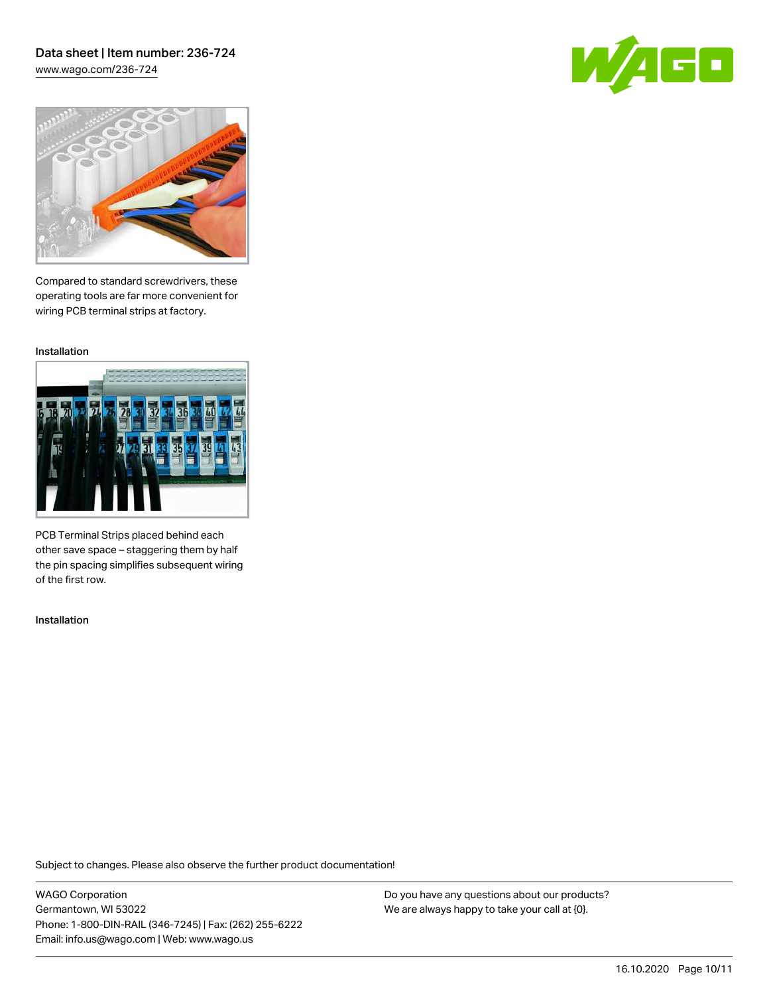[www.wago.com/236-724](http://www.wago.com/236-724)





Compared to standard screwdrivers, these operating tools are far more convenient for wiring PCB terminal strips at factory.

Installation



PCB Terminal Strips placed behind each other save space – staggering them by half the pin spacing simplifies subsequent wiring of the first row.

Installation

Subject to changes. Please also observe the further product documentation!

WAGO Corporation Germantown, WI 53022 Phone: 1-800-DIN-RAIL (346-7245) | Fax: (262) 255-6222 Email: info.us@wago.com | Web: www.wago.us